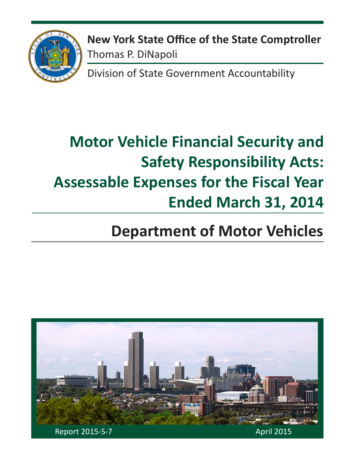

**New York State Office of the State Comptroller** Thomas P. DiNapoli

Division of State Government Accountability

# **Motor Vehicle Financial Security and Safety Responsibility Acts: Assessable Expenses for the Fiscal Year Ended March 31, 2014**

# **Department of Motor Vehicles**

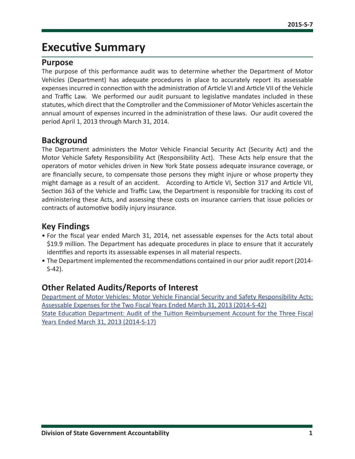### **Executive Summary**

#### **Purpose**

The purpose of this performance audit was to determine whether the Department of Motor Vehicles (Department) has adequate procedures in place to accurately report its assessable expenses incurred in connection with the administration of Article VI and Article VII of the Vehicle and Traffic Law. We performed our audit pursuant to legislative mandates included in these statutes, which direct that the Comptroller and the Commissioner of Motor Vehicles ascertain the annual amount of expenses incurred in the administration of these laws. Our audit covered the period April 1, 2013 through March 31, 2014.

#### **Background**

The Department administers the Motor Vehicle Financial Security Act (Security Act) and the Motor Vehicle Safety Responsibility Act (Responsibility Act). These Acts help ensure that the operators of motor vehicles driven in New York State possess adequate insurance coverage, or are financially secure, to compensate those persons they might injure or whose property they might damage as a result of an accident. According to Article VI, Section 317 and Article VII, Section 363 of the Vehicle and Traffic Law, the Department is responsible for tracking its cost of administering these Acts, and assessing these costs on insurance carriers that issue policies or contracts of automotive bodily injury insurance.

#### **Key Findings**

- For the fiscal year ended March 31, 2014, net assessable expenses for the Acts total about \$19.9 million. The Department has adequate procedures in place to ensure that it accurately identifies and reports its assessable expenses in all material respects.
- The Department implemented the recommendations contained in our prior audit report (2014- S-42).

#### **Other Related Audits/Reports of Interest**

[Department of Motor Vehicles: Motor Vehicle Financial Security and Safety Responsibility Acts:](http://osc.state.ny.us/audits/allaudits/093015/14s42.pdf) [Assessable Expenses for the Two Fiscal Years Ended March 31, 2013 \(2014-S-42\)](http://osc.state.ny.us/audits/allaudits/093015/14s42.pdf) [State Education Department: Audit of the Tuition Reimbursement Account for the Three Fiscal](http://osc.state.ny.us/audits/allaudits/093014/14s17.pdf)  [Years Ended March 31, 2013 \(2014-S-17](http://osc.state.ny.us/audits/allaudits/093014/14s17.pdf))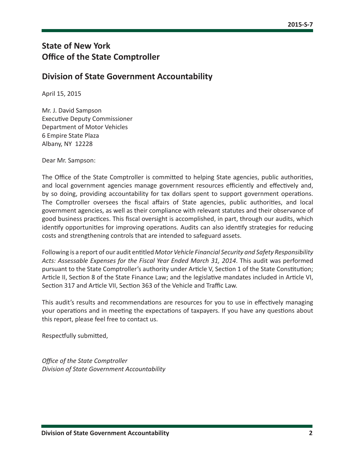#### **State of New York Office of the State Comptroller**

#### **Division of State Government Accountability**

April 15, 2015

Mr. J. David Sampson Executive Deputy Commissioner Department of Motor Vehicles 6 Empire State Plaza Albany, NY 12228

Dear Mr. Sampson:

The Office of the State Comptroller is committed to helping State agencies, public authorities, and local government agencies manage government resources efficiently and effectively and, by so doing, providing accountability for tax dollars spent to support government operations. The Comptroller oversees the fiscal affairs of State agencies, public authorities, and local government agencies, as well as their compliance with relevant statutes and their observance of good business practices. This fiscal oversight is accomplished, in part, through our audits, which identify opportunities for improving operations. Audits can also identify strategies for reducing costs and strengthening controls that are intended to safeguard assets.

Following is a report of our audit entitled *Motor Vehicle Financial Security and Safety Responsibility Acts: Assessable Expenses for the Fiscal Year Ended March 31, 2014*. This audit was performed pursuant to the State Comptroller's authority under Article V, Section 1 of the State Constitution; Article II, Section 8 of the State Finance Law; and the legislative mandates included in Article VI, Section 317 and Article VII, Section 363 of the Vehicle and Traffic Law.

This audit's results and recommendations are resources for you to use in effectively managing your operations and in meeting the expectations of taxpayers. If you have any questions about this report, please feel free to contact us.

Respectfully submitted,

*Office of the State Comptroller Division of State Government Accountability*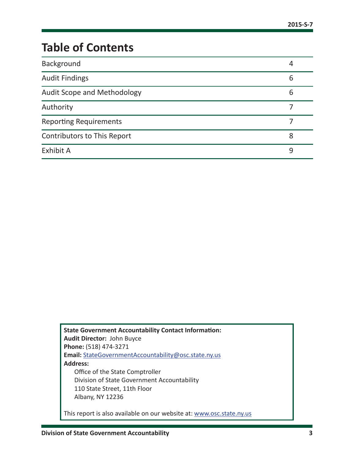# **Table of Contents**

| Background                         | 4 |
|------------------------------------|---|
| <b>Audit Findings</b>              | 6 |
| Audit Scope and Methodology        | 6 |
| Authority                          |   |
| <b>Reporting Requirements</b>      |   |
| <b>Contributors to This Report</b> | 8 |
| <b>Exhibit A</b>                   | q |

**State Government Accountability Contact Information: Audit Director:** John Buyce **Phone:** (518) 474-3271 **Email:** [StateGovernmentAccountability@osc.state.ny.us](mailto:StateGovernmentAccountability%40osc.state.ny.us?subject=) **Address:** Office of the State Comptroller Division of State Government Accountability 110 State Street, 11th Floor Albany, NY 12236

This report is also available on our website at: [www.osc.state.ny.us](http://www.osc.state.ny.us)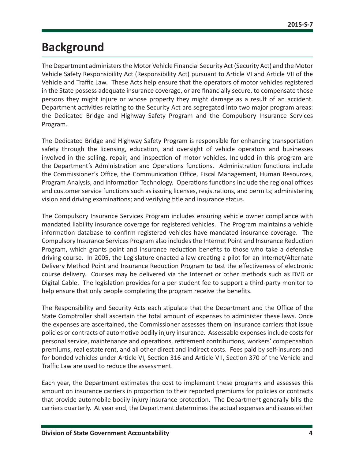### <span id="page-4-0"></span>**Background**

The Department administers the Motor Vehicle Financial Security Act (Security Act) and the Motor Vehicle Safety Responsibility Act (Responsibility Act) pursuant to Article VI and Article VII of the Vehicle and Traffic Law. These Acts help ensure that the operators of motor vehicles registered in the State possess adequate insurance coverage, or are financially secure, to compensate those persons they might injure or whose property they might damage as a result of an accident. Department activities relating to the Security Act are segregated into two major program areas: the Dedicated Bridge and Highway Safety Program and the Compulsory Insurance Services Program.

The Dedicated Bridge and Highway Safety Program is responsible for enhancing transportation safety through the licensing, education, and oversight of vehicle operators and businesses involved in the selling, repair, and inspection of motor vehicles. Included in this program are the Department's Administration and Operations functions. Administration functions include the Commissioner's Office, the Communication Office, Fiscal Management, Human Resources, Program Analysis, and Information Technology. Operations functions include the regional offices and customer service functions such as issuing licenses, registrations, and permits; administering vision and driving examinations; and verifying title and insurance status.

The Compulsory Insurance Services Program includes ensuring vehicle owner compliance with mandated liability insurance coverage for registered vehicles. The Program maintains a vehicle information database to confirm registered vehicles have mandated insurance coverage. The Compulsory Insurance Services Program also includes the Internet Point and Insurance Reduction Program, which grants point and insurance reduction benefits to those who take a defensive driving course. In 2005, the Legislature enacted a law creating a pilot for an Internet/Alternate Delivery Method Point and Insurance Reduction Program to test the effectiveness of electronic course delivery. Courses may be delivered via the Internet or other methods such as DVD or Digital Cable. The legislation provides for a per student fee to support a third-party monitor to help ensure that only people completing the program receive the benefits.

The Responsibility and Security Acts each stipulate that the Department and the Office of the State Comptroller shall ascertain the total amount of expenses to administer these laws. Once the expenses are ascertained, the Commissioner assesses them on insurance carriers that issue policies or contracts of automotive bodily injury insurance. Assessable expenses include costs for personal service, maintenance and operations, retirement contributions, workers' compensation premiums, real estate rent, and all other direct and indirect costs. Fees paid by self-insurers and for bonded vehicles under Article VI, Section 316 and Article VII, Section 370 of the Vehicle and Traffic Law are used to reduce the assessment.

Each year, the Department estimates the cost to implement these programs and assesses this amount on insurance carriers in proportion to their reported premiums for policies or contracts that provide automobile bodily injury insurance protection. The Department generally bills the carriers quarterly. At year end, the Department determines the actual expenses and issues either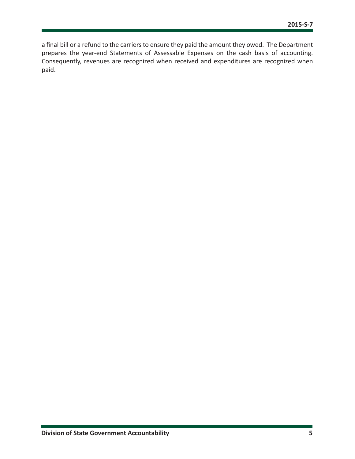a final bill or a refund to the carriers to ensure they paid the amount they owed. The Department prepares the year-end Statements of Assessable Expenses on the cash basis of accounting. Consequently, revenues are recognized when received and expenditures are recognized when paid.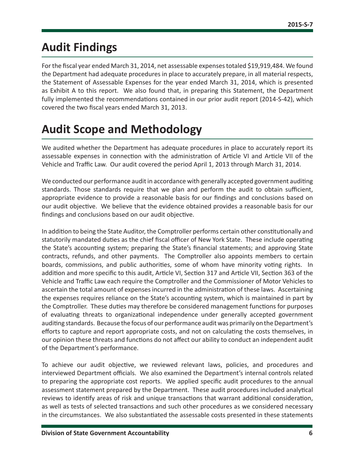### <span id="page-6-0"></span>**Audit Findings**

For the fiscal year ended March 31, 2014, net assessable expenses totaled \$19,919,484. We found the Department had adequate procedures in place to accurately prepare, in all material respects, the Statement of Assessable Expenses for the year ended March 31, 2014, which is presented as Exhibit A to this report. We also found that, in preparing this Statement, the Department fully implemented the recommendations contained in our prior audit report (2014-S-42), which covered the two fiscal years ended March 31, 2013.

## **Audit Scope and Methodology**

We audited whether the Department has adequate procedures in place to accurately report its assessable expenses in connection with the administration of Article VI and Article VII of the Vehicle and Traffic Law. Our audit covered the period April 1, 2013 through March 31, 2014.

We conducted our performance audit in accordance with generally accepted government auditing standards. Those standards require that we plan and perform the audit to obtain sufficient, appropriate evidence to provide a reasonable basis for our findings and conclusions based on our audit objective. We believe that the evidence obtained provides a reasonable basis for our findings and conclusions based on our audit objective.

In addition to being the State Auditor, the Comptroller performs certain other constitutionally and statutorily mandated duties as the chief fiscal officer of New York State. These include operating the State's accounting system; preparing the State's financial statements; and approving State contracts, refunds, and other payments. The Comptroller also appoints members to certain boards, commissions, and public authorities, some of whom have minority voting rights. In addition and more specific to this audit, Article VI, Section 317 and Article VII, Section 363 of the Vehicle and Traffic Law each require the Comptroller and the Commissioner of Motor Vehicles to ascertain the total amount of expenses incurred in the administration of these laws. Ascertaining the expenses requires reliance on the State's accounting system, which is maintained in part by the Comptroller. These duties may therefore be considered management functions for purposes of evaluating threats to organizational independence under generally accepted government auditing standards. Because the focus of our performance audit was primarily on the Department's efforts to capture and report appropriate costs, and not on calculating the costs themselves, in our opinion these threats and functions do not affect our ability to conduct an independent audit of the Department's performance.

To achieve our audit objective, we reviewed relevant laws, policies, and procedures and interviewed Department officials. We also examined the Department's internal controls related to preparing the appropriate cost reports. We applied specific audit procedures to the annual assessment statement prepared by the Department. These audit procedures included analytical reviews to identify areas of risk and unique transactions that warrant additional consideration, as well as tests of selected transactions and such other procedures as we considered necessary in the circumstances. We also substantiated the assessable costs presented in these statements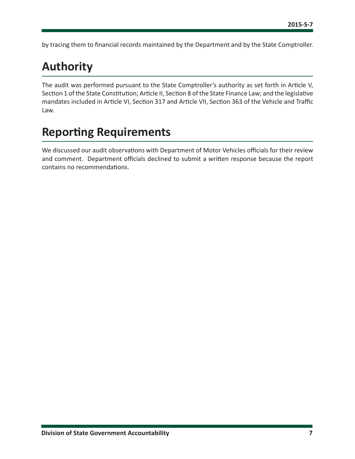<span id="page-7-0"></span>by tracing them to financial records maintained by the Department and by the State Comptroller.

## **Authority**

The audit was performed pursuant to the State Comptroller's authority as set forth in Article V, Section 1 of the State Constitution; Article II, Section 8 of the State Finance Law; and the legislative mandates included in Article VI, Section 317 and Article VII, Section 363 of the Vehicle and Traffic Law.

# **Reporting Requirements**

We discussed our audit observations with Department of Motor Vehicles officials for their review and comment. Department officials declined to submit a written response because the report contains no recommendations.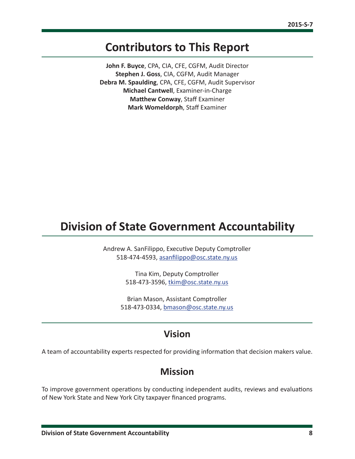### <span id="page-8-0"></span>**Contributors to This Report**

**John F. Buyce**, CPA, CIA, CFE, CGFM, Audit Director **Stephen J. Goss**, CIA, CGFM, Audit Manager **Debra M. Spaulding**, CPA, CFE, CGFM, Audit Supervisor **Michael Cantwell**, Examiner-in-Charge **Matthew Conway**, Staff Examiner **Mark Womeldorph**, Staff Examiner

### **Division of State Government Accountability**

Andrew A. SanFilippo, Executive Deputy Comptroller 518-474-4593, [asanfilippo@osc.state.ny.us](mailto:asanfilippo%40osc.state.ny.us%0D?subject=)

> Tina Kim, Deputy Comptroller 518-473-3596, [tkim@osc.state.ny.us](mailto:tkim%40osc.state.ny.us?subject=)

Brian Mason, Assistant Comptroller 518-473-0334, [bmason@osc.state.ny.us](mailto:bmason%40osc.state.ny.us?subject=)

#### **Vision**

A team of accountability experts respected for providing information that decision makers value.

#### **Mission**

To improve government operations by conducting independent audits, reviews and evaluations of New York State and New York City taxpayer financed programs.